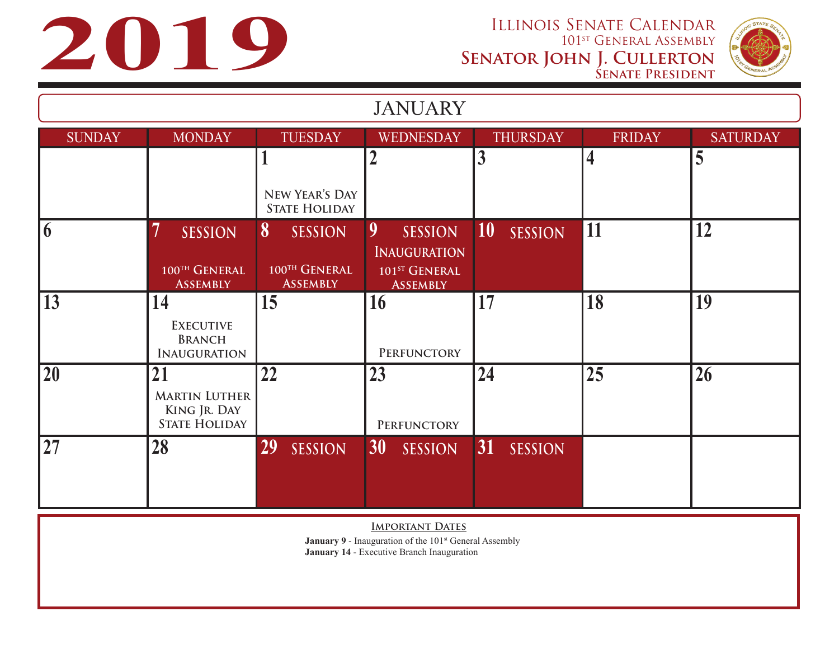

| <b>JANUARY</b> |                                                                    |                                                         |                                                                                            |                             |                         |                 |
|----------------|--------------------------------------------------------------------|---------------------------------------------------------|--------------------------------------------------------------------------------------------|-----------------------------|-------------------------|-----------------|
| <b>SUNDAY</b>  | <b>MONDAY</b>                                                      | <b>TUESDAY</b>                                          | <b>WEDNESDAY</b>                                                                           | <b>THURSDAY</b>             | <b>FRIDAY</b>           | <b>SATURDAY</b> |
|                |                                                                    | л                                                       |                                                                                            | $\overline{3}$              | $\overline{\mathbf{4}}$ | 5               |
|                |                                                                    | NEW YEAR'S DAY<br><b>STATE HOLIDAY</b>                  |                                                                                            |                             |                         |                 |
| $\overline{6}$ | <b>SESSION</b><br>100TH GENERAL<br><b>ASSEMBLY</b>                 | 8<br><b>SESSION</b><br>100TH GENERAL<br><b>ASSEMBLY</b> | 9<br><b>SESSION</b><br><b>INAUGURATION</b><br>101 <sup>ST</sup> GENERAL<br><b>ASSEMBLY</b> | <b>10</b><br><b>SESSION</b> | 11                      | 12              |
| 13             | 14<br><b>EXECUTIVE</b><br><b>BRANCH</b><br><b>INAUGURATION</b>     | 15                                                      | 16<br>PERFUNCTORY                                                                          | 17                          | 18                      | 19              |
| 20             | 21<br><b>MARTIN LUTHER</b><br>KING JR. DAY<br><b>STATE HOLIDAY</b> | 22                                                      | 23<br>PERFUNCTORY                                                                          | 24                          | 25                      | 26              |
| 27             | 28                                                                 | 29<br><b>SESSION</b>                                    | 30<br><b>SESSION</b>                                                                       | 31<br><b>SESSION</b>        |                         |                 |

**IMPORTANT DATES** 

**January 9 - Inauguration of the 101st General Assembly January 14** - Executive Branch Inauguration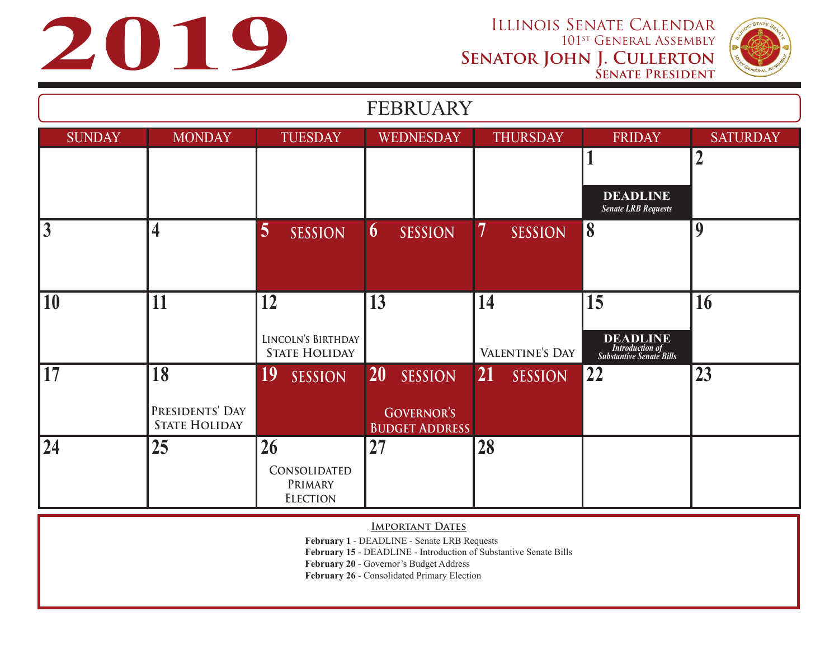



| <b>FEBRUARY</b> |                                         |                                            |                                            |                             |                                                                              |                 |
|-----------------|-----------------------------------------|--------------------------------------------|--------------------------------------------|-----------------------------|------------------------------------------------------------------------------|-----------------|
| <b>SUNDAY</b>   | <b>MONDAY</b>                           | <b>TUESDAY</b>                             | <b>WEDNESDAY</b>                           | <b>THURSDAY</b>             | <b>FRIDAY</b>                                                                | <b>SATURDAY</b> |
|                 |                                         |                                            |                                            |                             |                                                                              | 2               |
|                 |                                         |                                            |                                            |                             | <b>DEADLINE</b><br><b>Senate LRB Requests</b>                                |                 |
| $\overline{3}$  | $\overline{\mathbf{4}}$                 | 5<br><b>SESSION</b>                        | <b>SESSION</b><br>$\boldsymbol{\theta}$    | 7<br><b>SESSION</b>         | 8                                                                            | 9               |
|                 |                                         |                                            |                                            |                             |                                                                              |                 |
| 10              | 11                                      | 12                                         | 13                                         | 14                          | 15                                                                           | 16              |
|                 |                                         | LINCOLN'S BIRTHDAY<br><b>STATE HOLIDAY</b> |                                            | VALENTINE'S DAY             | <b>DEADLINE</b><br><b>Introduction of</b><br><b>Substantive Senate Bills</b> |                 |
| 17              | 18                                      | <b>19</b><br><b>SESSION</b>                | <b>20</b><br><b>SESSION</b>                | <b>21</b><br><b>SESSION</b> | 22                                                                           | 23              |
|                 | PRESIDENTS' DAY<br><b>STATE HOLIDAY</b> |                                            | <b>GOVERNOR'S</b><br><b>BUDGET ADDRESS</b> |                             |                                                                              |                 |
| 24              | 25                                      | 26                                         | 27                                         | 28                          |                                                                              |                 |
|                 |                                         | CONSOLIDATED<br>PRIMARY<br><b>ELECTION</b> |                                            |                             |                                                                              |                 |

## **IMPORTANT DATES**

**February 1** - DEADLINE - Senate LRB Requests

**February 15** - DEADLINE - Introduction of Substantive Senate Bills

**February 20** - Governor's Budget Address

**February 26** - Consolidated Primary Election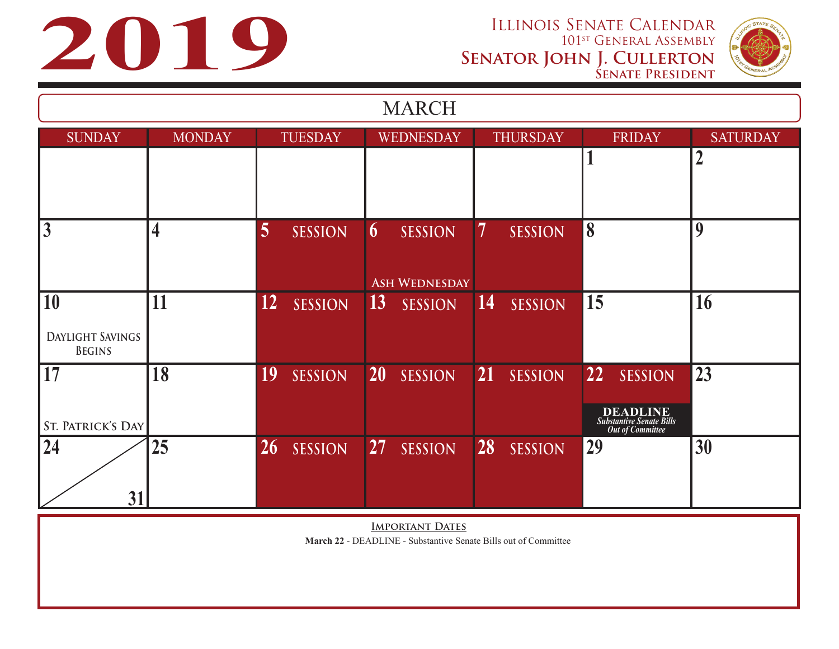



| <b>MARCH</b>                                   |               |                                   |                                                                 |                             |                                                                                                       |                 |
|------------------------------------------------|---------------|-----------------------------------|-----------------------------------------------------------------|-----------------------------|-------------------------------------------------------------------------------------------------------|-----------------|
| <b>SUNDAY</b>                                  | <b>MONDAY</b> | <b>TUESDAY</b>                    | WEDNESDAY                                                       | <b>THURSDAY</b>             | <b>FRIDAY</b>                                                                                         | <b>SATURDAY</b> |
|                                                |               |                                   |                                                                 |                             |                                                                                                       | $\overline{2}$  |
| $\overline{3}$                                 | 4             | 5<br><b>SESSION</b>               | <b>SESSION</b><br>$\boldsymbol{\theta}$<br><b>ASH WEDNESDAY</b> | 7<br><b>SESSION</b>         | 8                                                                                                     | 9               |
| 10<br><b>DAYLIGHT SAVINGS</b><br><b>BEGINS</b> | 11            | 12 <sup>°</sup><br><b>SESSION</b> | 13<br><b>SESSION</b>                                            | 14<br><b>SESSION</b>        | 15                                                                                                    | 16              |
| 17<br><b>ST. PATRICK'S DAY</b>                 | 18            | 19<br><b>SESSION</b>              | <b>20</b><br><b>SESSION</b>                                     | <b>21</b><br><b>SESSION</b> | <b>22</b><br><b>SESSION</b><br><b>DEADLINE</b><br><b>Substantive Senate Bills</b><br>Out of Committee | 23              |
| 24<br>31                                       | 25            | 26<br><b>SESSION</b>              | 27<br><b>SESSION</b>                                            | 28<br><b>SESSION</b>        | 29                                                                                                    | 30              |

**IMPORTANT DATES March 22** - DEADLINE - Substantive Senate Bills out of Committee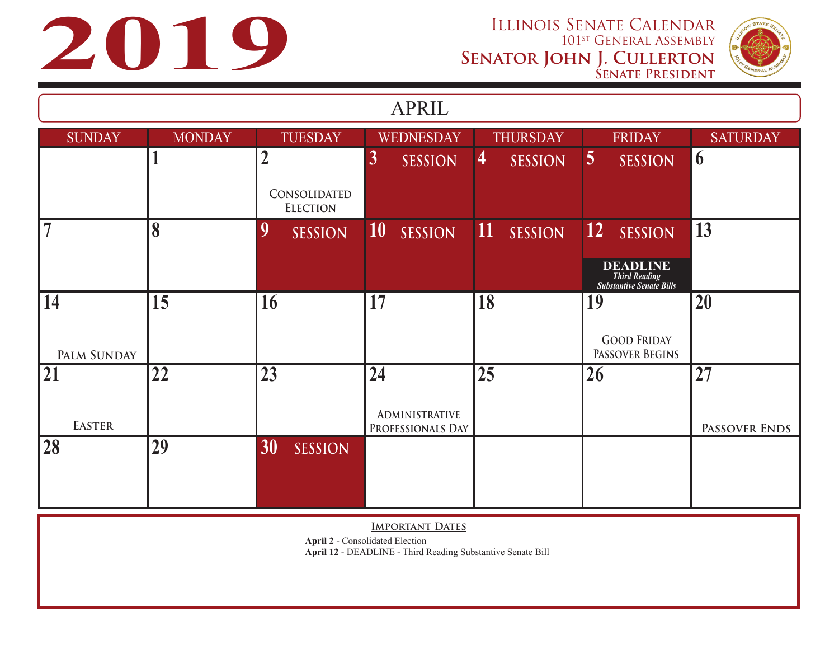**2019 ILLINOIS SENATE CALENDAR**<br>101<sup>st</sup> GENERAL ASSEMBLY<br>**2019** SENATOR JOHN J. CULLERTON<br>SENATOR JOHN J. CULLERTON 101st General Assembly **Senator John J. Cullerton Senate President**



| <b>APRIL</b>       |               |                                 |                                            |                                  |                                                                            |                 |
|--------------------|---------------|---------------------------------|--------------------------------------------|----------------------------------|----------------------------------------------------------------------------|-----------------|
| <b>SUNDAY</b>      | <b>MONDAY</b> | <b>TUESDAY</b>                  | WEDNESDAY                                  | <b>THURSDAY</b>                  | <b>FRIDAY</b>                                                              | <b>SATURDAY</b> |
|                    |               | $\overline{2}$                  | $\boldsymbol{3}$<br><b>SESSION</b>         | $\overline{4}$<br><b>SESSION</b> | $\overline{5}$<br><b>SESSION</b>                                           | 6               |
|                    |               | CONSOLIDATED<br><b>ELECTION</b> |                                            |                                  |                                                                            |                 |
| $\overline{7}$     | 8             | 9<br><b>SESSION</b>             | 10<br><b>SESSION</b>                       | $\vert$ 11<br><b>SESSION</b>     | 12 <br><b>SESSION</b>                                                      | 13              |
|                    |               |                                 |                                            |                                  | <b>DEADLINE</b><br><b>Third Reading</b><br><b>Substantive Senate Bills</b> |                 |
| 14                 | 15            | 16                              | 17                                         | 18                               | 19                                                                         | 20              |
| <b>PALM SUNDAY</b> |               |                                 |                                            |                                  | <b>GOOD FRIDAY</b><br>PASSOVER BEGINS                                      |                 |
| 21                 | 22            | 23                              | 24                                         | 25                               | 26                                                                         | 27              |
| <b>EASTER</b>      |               |                                 | <b>ADMINISTRATIVE</b><br>PROFESSIONALS DAY |                                  |                                                                            | PASSOVER ENDS   |
| 28                 | 29            | 30<br><b>SESSION</b>            |                                            |                                  |                                                                            |                 |
|                    |               |                                 |                                            |                                  |                                                                            |                 |

**IMPORTANT DATES** 

**April 2** - Consolidated Election

**April 12** - DEADLINE - Third Reading Substantive Senate Bill